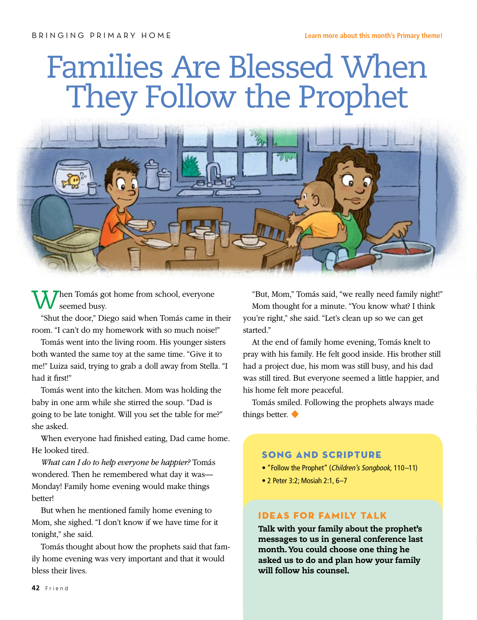## Families Are Blessed When They Follow the Prophet



Then Tomás got home from school, everyone seemed busy.

"Shut the door," Diego said when Tomás came in their room. "I can't do my homework with so much noise!"

Tomás went into the living room. His younger sisters both wanted the same toy at the same time. "Give it to me!" Luiza said, trying to grab a doll away from Stella. "I had it first!"

Tomás went into the kitchen. Mom was holding the baby in one arm while she stirred the soup. "Dad is going to be late tonight. Will you set the table for me?" she asked.

When everyone had finished eating, Dad came home. He looked tired.

*What can I do to help everyone be happier?* Tomás wondered. Then he remembered what day it was— Monday! Family home evening would make things better!

But when he mentioned family home evening to Mom, she sighed. "I don't know if we have time for it tonight," she said.

Tomás thought about how the prophets said that family home evening was very important and that it would bless their lives.

"But, Mom," Tomás said, "we really need family night!" Mom thought for a minute. "You know what? I think you're right," she said. "Let's clean up so we can get started."

At the end of family home evening, Tomás knelt to pray with his family. He felt good inside. His brother still had a project due, his mom was still busy, and his dad was still tired. But everyone seemed a little happier, and his home felt more peaceful.

Tomás smiled. Following the prophets always made things better. ◆

## SONG AND SCRIPTURE

- "Follow the Prophet" (*Children's Songbook,* 110–11)
- 2 Peter 3:2; Mosiah 2:1, 6–7

## IDEAS FOR FAMILY TALK

Talk with your family about the prophet's messages to us in general conference last month. You could choose one thing he asked us to do and plan how your family will follow his counsel.